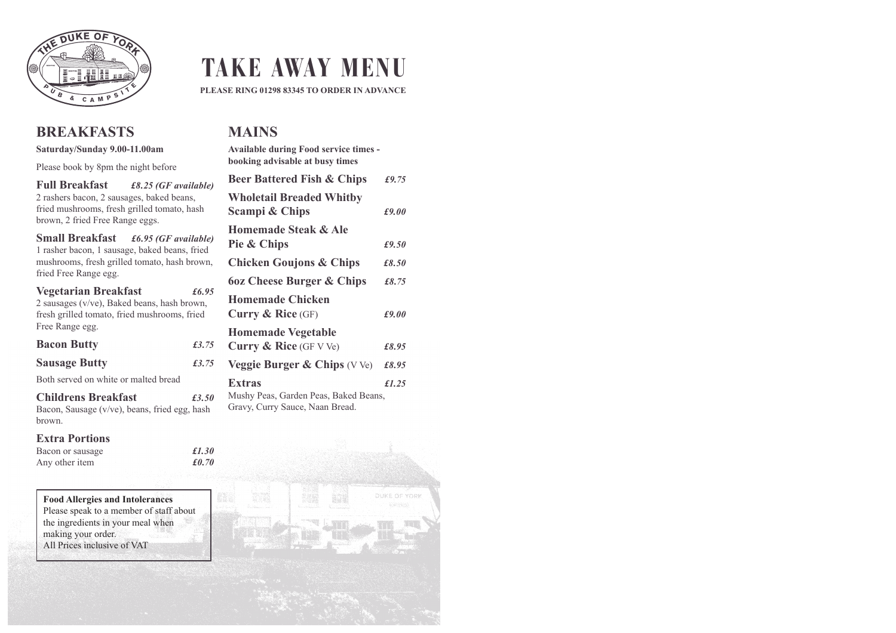

## **BREAKFASTS**

#### **Saturday/Sunday 9.00-11.00am**

Please book by 8pm the night before

**Full Breakfast** *£8.25 (GF available)* 2 rashers bacon, 2 sausages, baked beans, fried mushrooms, fresh grilled tomato, hash brown, 2 fried Free Range eggs.

**Small Breakfast** *£6.95 (GF available)* 1 rasher bacon, 1 sausage, baked beans, fried mushrooms, fresh grilled tomato, hash brown, fried Free Range egg.

**Vegetarian Breakfast** *£6.95* 2 sausages (v/ve), Baked beans, hash brown, fresh grilled tomato, fried mushrooms, fried Free Range egg.

**Bacon Butty** *£3.75*

| <b>Bacon Butty</b> |  |
|--------------------|--|
|                    |  |

**Sausage Butty** *£3.75*

Both served on white or malted bread

**Childrens Breakfast** *£3.50* Bacon, Sausage (v/ve), beans, fried egg, hash brown.

#### **Extra Portions**

| Bacon or sausage |  | £1.30 |
|------------------|--|-------|
| Any other item   |  | £0.70 |

#### **Food Allergies and Intolerances** Please speak to a member of staff about

the ingredients in your meal when making your order. All Prices inclusive of VAT

# **TAKE AWAY MENU**

**PLEASE RING 01298 83345 TO ORDER IN ADVANCE**

## **MAINS**

| <b>Available during Food service times -</b><br>booking advisable at busy times    |       |
|------------------------------------------------------------------------------------|-------|
| <b>Beer Battered Fish &amp; Chips</b>                                              | £9.75 |
| <b>Wholetail Breaded Whitby</b><br>Scampi & Chips                                  | £9.00 |
| Homemade Steak & Ale                                                               |       |
| Pie & Chips                                                                        | £9.50 |
| <b>Chicken Goujons &amp; Chips</b>                                                 | £8.50 |
| <b>60z Cheese Burger &amp; Chips</b>                                               | £8.75 |
| Homemade Chicken                                                                   |       |
| Curry $\&$ Rice (GF)                                                               | £9.00 |
| <b>Homemade Vegetable</b>                                                          |       |
| <b>Curry &amp; Rice</b> (GF V Ve)                                                  | £8.95 |
| <b>Veggie Burger &amp; Chips</b> $(VVe)$                                           | £8.95 |
| Extras<br>Mushy Peas, Garden Peas, Baked Beans,<br>Gravy, Curry Sauce, Naan Bread. | f1.25 |

DUKE OF YORK